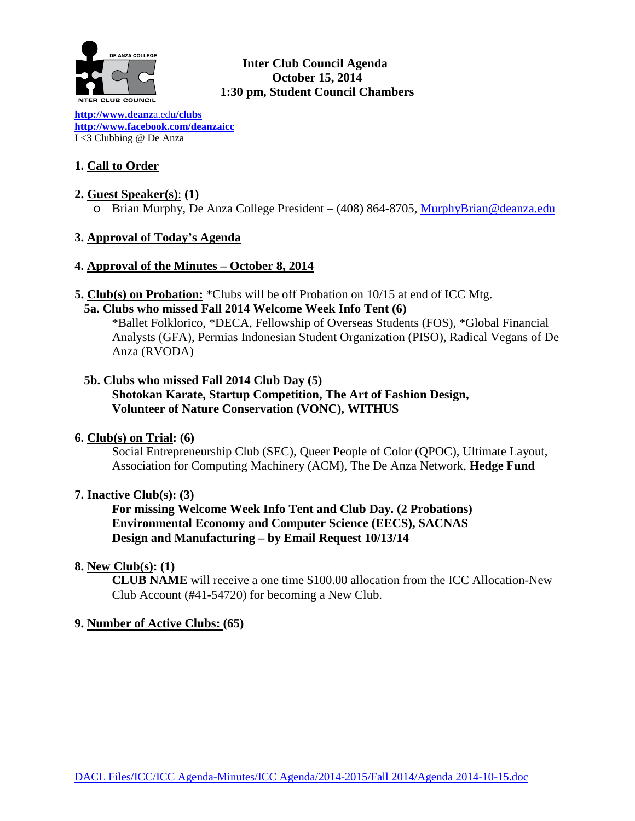

## **Inter Club Council Agenda October 15, 2014 1:30 pm, Student Council Chambers**

**[http://www.deanz](http://www.deanza.edu/clubs)**a.ed**u/clubs [http://www.facebook.com/deanzaicc](http://www.facebook.com/home.php%23!/group.php?gid=59034552686)** I <3 Clubbing @ De Anza

## **1. Call to Order**

## **2. Guest Speaker(s)**: **(1)**

o Brian Murphy, De Anza College President – (408) 864-8705, [MurphyBrian@deanza.edu](mailto:MurphyBrian@deanza.edu)

## **3. Approval of Today's Agenda**

## **4. Approval of the Minutes – October 8, 2014**

**5. Club(s) on Probation:** \*Clubs will be off Probation on 10/15 at end of ICC Mtg.

## **5a. Clubs who missed Fall 2014 Welcome Week Info Tent (6)**

\*Ballet Folklorico, \*DECA, Fellowship of Overseas Students (FOS), \*Global Financial Analysts (GFA), Permias Indonesian Student Organization (PISO), Radical Vegans of De Anza (RVODA)

## **5b. Clubs who missed Fall 2014 Club Day (5)**

**Shotokan Karate, Startup Competition, The Art of Fashion Design, Volunteer of Nature Conservation (VONC), WITHUS**

#### **6. Club(s) on Trial: (6)**

Social Entrepreneurship Club (SEC), Queer People of Color (QPOC), Ultimate Layout, Association for Computing Machinery (ACM), The De Anza Network, **Hedge Fund**

#### **7. Inactive Club(s): (3)**

**For missing Welcome Week Info Tent and Club Day. (2 Probations) Environmental Economy and Computer Science (EECS), SACNAS Design and Manufacturing – by Email Request 10/13/14**

#### **8. New Club(s): (1)**

**CLUB NAME** will receive a one time \$100.00 allocation from the ICC Allocation-New Club Account (#41-54720) for becoming a New Club.

## **9. Number of Active Clubs: (65)**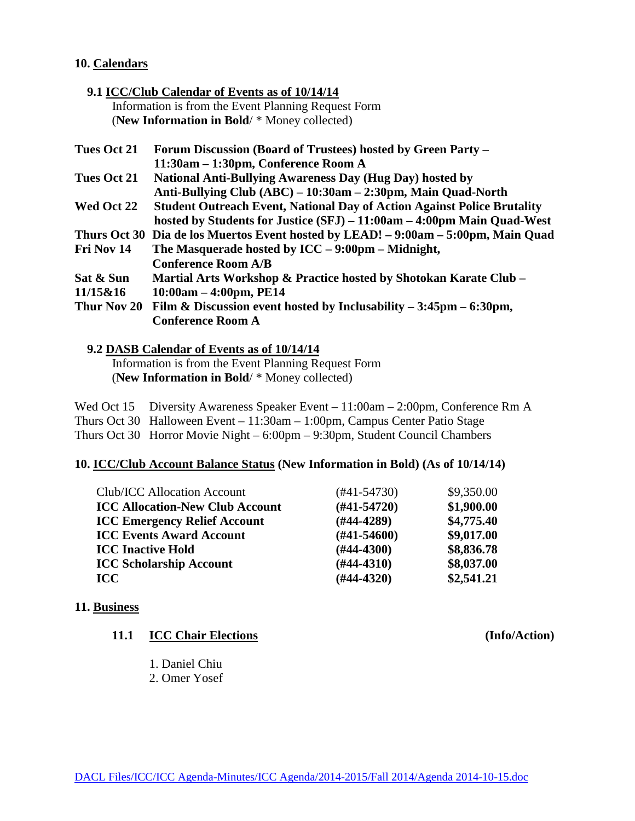#### **10. Calendars**

### **9.1 ICC/Club Calendar of Events as of 10/14/14** Information is from the Event Planning Request Form (**New Information in Bold**/ \* Money collected)

| <b>Tues Oct 21</b> | Forum Discussion (Board of Trustees) hosted by Green Party -                     |
|--------------------|----------------------------------------------------------------------------------|
|                    | 11:30am – 1:30pm, Conference Room A                                              |
| Tues Oct 21        | <b>National Anti-Bullying Awareness Day (Hug Day) hosted by</b>                  |
|                    | Anti-Bullying Club (ABC) – 10:30am – 2:30pm, Main Quad-North                     |
| Wed Oct 22         | <b>Student Outreach Event, National Day of Action Against Police Brutality</b>   |
|                    | hosted by Students for Justice (SFJ) – 11:00am – 4:00pm Main Quad-West           |
|                    | Thurs Oct 30 Dia de los Muertos Event hosted by LEAD! -9:00am -5:00pm, Main Quad |
| Fri Nov 14         | The Masquerade hosted by $ICC - 9:00 \text{pm} - Midnight$ ,                     |
|                    | <b>Conference Room A/B</b>                                                       |
| Sat & Sun          | Martial Arts Workshop & Practice hosted by Shotokan Karate Club –                |
| 11/15&16           | $10:00am - 4:00pm, PE14$                                                         |
| Thur Nov 20        | Film & Discussion event hosted by Inclusability $-3:45$ pm $-6:30$ pm,           |
|                    | <b>Conference Room A</b>                                                         |
|                    |                                                                                  |

#### **9.2 DASB Calendar of Events as of 10/14/14**

 Information is from the Event Planning Request Form (**New Information in Bold**/ \* Money collected)

Wed Oct 15 Diversity Awareness Speaker Event – 11:00am – 2:00pm, Conference Rm A Thurs Oct 30 Halloween Event – 11:30am – 1:00pm, Campus Center Patio Stage Thurs Oct 30 Horror Movie Night – 6:00pm – 9:30pm, Student Council Chambers

#### **10. ICC/Club Account Balance Status (New Information in Bold) (As of 10/14/14)**

| <b>Club/ICC Allocation Account</b>     | (#41-54730)   | \$9,350.00 |
|----------------------------------------|---------------|------------|
| <b>ICC Allocation-New Club Account</b> | $(#41-54720)$ | \$1,900.00 |
| <b>ICC Emergency Relief Account</b>    | $(H44-4289)$  | \$4,775.40 |
| <b>ICC Events Award Account</b>        | $(H41-54600)$ | \$9,017.00 |
| <b>ICC Inactive Hold</b>               | $(H44-4300)$  | \$8,836.78 |
| <b>ICC Scholarship Account</b>         | $(H44-4310)$  | \$8,037.00 |
| <b>ICC</b>                             | $(#44-4320)$  | \$2,541.21 |

**(Info/Action)** 

#### **11. Business**

|  | 11.1 | <b>ICC Chair Elections</b> |
|--|------|----------------------------|
|--|------|----------------------------|

- 1. Daniel Chiu
- 2. Omer Yosef